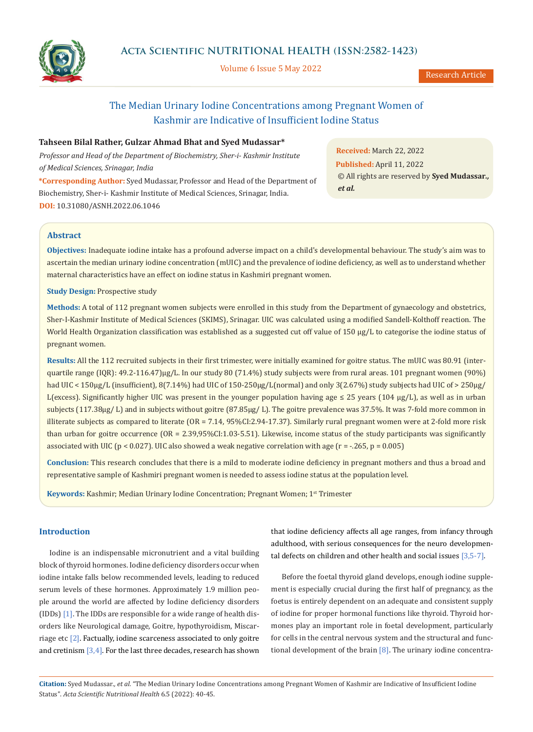

Volume 6 Issue 5 May 2022

# The Median Urinary Iodine Concentrations among Pregnant Women of Kashmir are Indicative of Insufficient Iodine Status

## **Tahseen Bilal Rather, Gulzar Ahmad Bhat and Syed Mudassar\***

*Professor and Head of the Department of Biochemistry, Sher-i- Kashmir Institute of Medical Sciences, Srinagar, India*

**\*Corresponding Author:** Syed Mudassar, Professor and Head of the Department of Biochemistry, Sher-i- Kashmir Institute of Medical Sciences, Srinagar, India. **DOI:** [10.31080/ASNH.2022.06.10](https://actascientific.com/ASNH/pdf/ASNH-06-1046.pdf)46

**Received:** March 22, 2022 **Published:** April 11, 2022 © All rights are reserved by **Syed Mudassar***., et al.*

## **Abstract**

**Objectives:** Inadequate iodine intake has a profound adverse impact on a child's developmental behaviour. The study's aim was to ascertain the median urinary iodine concentration (mUIC) and the prevalence of iodine deficiency, as well as to understand whether maternal characteristics have an effect on iodine status in Kashmiri pregnant women.

**Study Design:** Prospective study

**Methods:** A total of 112 pregnant women subjects were enrolled in this study from the Department of gynaecology and obstetrics, Sher-I-Kashmir Institute of Medical Sciences (SKIMS), Srinagar. UIC was calculated using a modified Sandell-Kolthoff reaction. The World Health Organization classification was established as a suggested cut off value of 150 µg/L to categorise the iodine status of pregnant women.

**Results:** All the 112 recruited subjects in their first trimester, were initially examined for goitre status. The mUIC was 80.91 (interquartile range (IQR): 49.2-116.47)μg/L. In our study 80 (71.4%) study subjects were from rural areas. 101 pregnant women (90%) had UIC < 150µg/L (insufficient), 8(7.14%) had UIC of 150-250µg/L(normal) and only 3(2.67%) study subjects had UIC of > 250µg/ L(excess). Significantly higher UIC was present in the younger population having age ≤ 25 years (104 µg/L), as well as in urban subjects (117.38µg/ L) and in subjects without goitre (87.85µg/ L). The goitre prevalence was 37.5%. It was 7-fold more common in illiterate subjects as compared to literate (OR = 7.14, 95%CI:2.94-17.37). Similarly rural pregnant women were at 2-fold more risk than urban for goitre occurrence (OR = 2.39,95%CI:1.03-5.51). Likewise, income status of the study participants was significantly associated with UIC (p < 0.027). UIC also showed a weak negative correlation with age (r = -.265, p = 0.005)

**Conclusion:** This research concludes that there is a mild to moderate iodine deficiency in pregnant mothers and thus a broad and representative sample of Kashmiri pregnant women is needed to assess iodine status at the population level.

**Keywords:** Kashmir; Median Urinary Iodine Concentration; Pregnant Women; 1st Trimester

# **Introduction**

Iodine is an indispensable micronutrient and a vital building block of thyroid hormones. Iodine deficiency disorders occur when iodine intake falls below recommended levels, leading to reduced serum levels of these hormones. Approximately 1.9 million people around the world are affected by Iodine deficiency disorders (IDDs)  $[1]$ . The IDDs are responsible for a wide range of health disorders like Neurological damage, Goitre, hypothyroidism, Miscarriage etc  $[2]$ . Factually, iodine scarceness associated to only goitre and cretinism  $[3,4]$ . For the last three decades, research has shown

that iodine deficiency affects all age ranges, from infancy through adulthood, with serious consequences for the neuro developmental defects on children and other health and social issues [3,5-7].

Before the foetal thyroid gland develops, enough iodine supplement is especially crucial during the first half of pregnancy, as the foetus is entirely dependent on an adequate and consistent supply of iodine for proper hormonal functions like thyroid. Thyroid hormones play an important role in foetal development, particularly for cells in the central nervous system and the structural and functional development of the brain  $[8]$ . The urinary iodine concentra-

**Citation:** Syed Mudassar*., et al.* "The Median Urinary Iodine Concentrations among Pregnant Women of Kashmir are Indicative of Insufficient Iodine Status". *Acta Scientific Nutritional Health* 6.5 (2022): 40-45.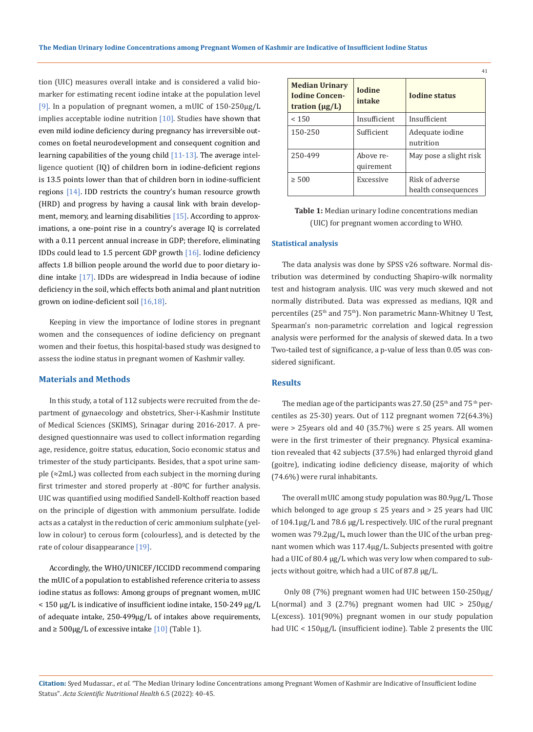tion (UIC) measures overall intake and is considered a valid biomarker for estimating recent iodine intake at the population level [9]. In a population of pregnant women, a mUIC of  $150-250\mu g/L$ implies acceptable iodine nutrition  $[10]$ . Studies have shown that even mild iodine deficiency during pregnancy has irreversible outcomes on foetal neurodevelopment and consequent cognition and learning capabilities of the young child  $[11-13]$ . The average intelligence quotient (IQ) of children born in iodine-deficient regions is 13.5 points lower than that of children born in iodine-sufficient regions [14]. IDD restricts the country's human resource growth (HRD) and progress by having a causal link with brain development, memory, and learning disabilities  $[15]$ . According to approximations, a one-point rise in a country's average IQ is correlated with a 0.11 percent annual increase in GDP; therefore, eliminating IDDs could lead to 1.5 percent GDP growth [16]. Iodine deficiency affects 1.8 billion people around the world due to poor dietary iodine intake [17]. IDDs are widespread in India because of iodine deficiency in the soil, which effects both animal and plant nutrition grown on iodine-deficient soil [16,18].

Keeping in view the importance of Iodine stores in pregnant women and the consequences of iodine deficiency on pregnant women and their foetus, this hospital-based study was designed to assess the iodine status in pregnant women of Kashmir valley.

## **Materials and Methods**

In this study, a total of 112 subjects were recruited from the department of gynaecology and obstetrics, Sher-i-Kashmir Institute of Medical Sciences (SKIMS), Srinagar during 2016-2017. A predesigned questionnaire was used to collect information regarding age, residence, goitre status, education, Socio economic status and trimester of the study participants. Besides, that a spot urine sample (≈2mL) was collected from each subject in the morning during first trimester and stored properly at -80ºC for further analysis. UIC was quantified using modified Sandell-Kolthoff reaction based on the principle of digestion with ammonium persulfate. Iodide acts as a catalyst in the reduction of ceric ammonium sulphate (yellow in colour) to cerous form (colourless), and is detected by the rate of colour disappearance [19].

Accordingly, the WHO/UNICEF/ICCIDD recommend comparing the mUIC of a population to established reference criteria to assess iodine status as follows: Among groups of pregnant women, mUIC < 150 μg/L is indicative of insufficient iodine intake, 150-249 μg/L of adequate intake, 250-499μg/L of intakes above requirements, and  $\geq$  500µg/L of excessive intake [10] (Table 1).

|                                                                       |                         | 41                                     |
|-----------------------------------------------------------------------|-------------------------|----------------------------------------|
| <b>Median Urinary</b><br><b>Iodine Concen-</b><br>tration $(\mu g/L)$ | <b>Iodine</b><br>intake | <b>Iodine status</b>                   |
| < 150                                                                 | Insufficient            | Insufficient                           |
| 150-250                                                               | Sufficient              | Adequate iodine<br>nutrition           |
| 250-499                                                               | Above re-<br>quirement  | May pose a slight risk                 |
| $\geq 500$                                                            | Excessive               | Risk of adverse<br>health consequences |

**Table 1:** Median urinary Iodine concentrations median (UIC) for pregnant women according to WHO.

#### **Statistical analysis**

The data analysis was done by SPSS v26 software. Normal distribution was determined by conducting Shapiro-wilk normality test and histogram analysis. UIC was very much skewed and not normally distributed. Data was expressed as medians, IQR and percentiles (25<sup>th</sup> and 75<sup>th</sup>). Non parametric Mann-Whitney U Test, Spearman's non-parametric correlation and logical regression analysis were performed for the analysis of skewed data. In a two Two-tailed test of significance, a p-value of less than 0.05 was considered significant.

## **Results**

The median age of the participants was 27.50 (25<sup>th</sup> and 75<sup>th</sup> percentiles as 25-30) years. Out of 112 pregnant women 72(64.3%) were > 25 years old and 40 (35.7%) were  $\leq$  25 years. All women were in the first trimester of their pregnancy. Physical examination revealed that 42 subjects (37.5%) had enlarged thyroid gland (goitre), indicating iodine deficiency disease, majority of which (74.6%) were rural inhabitants.

The overall mUIC among study population was 80.9µg/L. Those which belonged to age group  $\leq$  25 years and  $>$  25 years had UIC of 104.1µg/L and 78.6 µg/L respectively. UIC of the rural pregnant women was 79.2µg/L, much lower than the UIC of the urban pregnant women which was 117.4µg/L. Subjects presented with goitre had a UIC of 80.4 µg/L which was very low when compared to subjects without goitre, which had a UIC of 87.8 µg/L.

 Only 08 (7%) pregnant women had UIC between 150-250µg/ L(normal) and 3 (2.7%) pregnant women had UIC  $> 250\mu g$ / L(excess). 101(90%) pregnant women in our study population had UIC < 150µg/L (insufficient iodine). Table 2 presents the UIC

**Citation:** Syed Mudassar*., et al.* "The Median Urinary Iodine Concentrations among Pregnant Women of Kashmir are Indicative of Insufficient Iodine Status". *Acta Scientific Nutritional Health* 6.5 (2022): 40-45.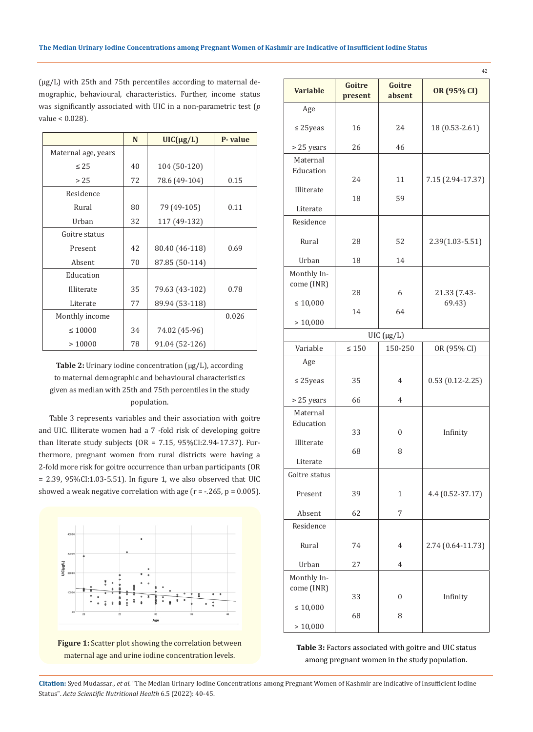(µg/L) with 25th and 75th percentiles according to maternal demographic, behavioural, characteristics. Further, income status was significantly associated with UIC in a non-parametric test (*p*  value < 0.028).

|                     | N                   | $UIC(\mu g/L)$ | P-value |
|---------------------|---------------------|----------------|---------|
| Maternal age, years |                     |                |         |
| $\leq 25$           | 40                  | 104 (50-120)   |         |
| > 25                | 72<br>78.6 (49-104) |                | 0.15    |
| Residence           |                     |                |         |
| Rural               | 80                  | 79 (49-105)    | 0.11    |
| Urban               | 32                  | 117 (49-132)   |         |
| Goitre status       |                     |                |         |
| Present             | 42                  | 80.40 (46-118) | 0.69    |
| Absent              | 70                  | 87.85 (50-114) |         |
| Education           |                     |                |         |
| Illiterate          | 35                  | 79.63 (43-102) | 0.78    |
| Literate            | 77                  | 89.94 (53-118) |         |
| Monthly income      |                     |                | 0.026   |
| $\leq 10000$        | 34                  | 74.02 (45-96)  |         |
| >10000              | 78                  | 91.04 (52-126) |         |

Table 2: Urinary iodine concentration (µg/L), according to maternal demographic and behavioural characteristics given as median with 25th and 75th percentiles in the study population.

Table 3 represents variables and their association with goitre and UIC. Illiterate women had a 7 -fold risk of developing goitre than literate study subjects ( $OR = 7.15$ ,  $95\% CI: 2.94-17.37$ ). Furthermore, pregnant women from rural districts were having a 2-fold more risk for goitre occurrence than urban participants (OR = 2.39, 95%CI:1.03-5.51). In figure 1, we also observed that UIC showed a weak negative correlation with age  $(r = -.265, p = 0.005)$ .



Figure 1: Scatter plot showing the correlation between maternal age and urine iodine concentration levels.

| <b>Variable</b>         | Goitre<br>present  | Goitre<br>absent | OR (95% CI)            |  |
|-------------------------|--------------------|------------------|------------------------|--|
| Age                     |                    |                  |                        |  |
| $\leq$ 25 yeas          | 16                 | 24               | 18 (0.53-2.61)         |  |
| > 25 years              | 26                 | 46               |                        |  |
| Maternal                |                    |                  |                        |  |
| Education<br>Illiterate | 24                 | 11               | 7.15 (2.94-17.37)      |  |
|                         | 18                 | 59               |                        |  |
| Literate                |                    |                  |                        |  |
| Residence               |                    |                  |                        |  |
| Rural                   | 28                 | 52               | 2.39(1.03-5.51)        |  |
| Urban                   | 18                 | 14               |                        |  |
| Monthly In-             |                    |                  |                        |  |
| come (INR)              | 28                 | 6                |                        |  |
| $\leq 10{,}000$         |                    |                  | 21.33 (7.43-<br>69.43) |  |
|                         | 14                 | 64               |                        |  |
|                         | >10,000            |                  |                        |  |
|                         | $UIC$ ( $\mu$ g/L) |                  |                        |  |
| Variable                | $\leq 150$         | 150-250          | OR (95% CI)            |  |
| Age                     |                    |                  |                        |  |
| $\leq$ 25yeas           | 35                 | 4                | $0.53(0.12 - 2.25)$    |  |
| > 25 years              | 66                 | 4                |                        |  |
| Maternal                |                    |                  |                        |  |
| Education               | 33                 | 0                | Infinity               |  |
| Illiterate              |                    |                  |                        |  |
|                         | 68                 | 8                |                        |  |
| Literate                |                    |                  |                        |  |
| Goitre status           |                    |                  |                        |  |
| Present                 | 39                 | 1                | 4.4 (0.52-37.17)       |  |
| Absent                  | 62                 | 7                |                        |  |
| Residence               |                    |                  |                        |  |
| Rural                   | 74                 | 4                | 2.74 (0.64-11.73)      |  |
| Urban                   | 27                 | 4                |                        |  |
| Monthly In-             |                    |                  |                        |  |
| come (INR)              |                    |                  |                        |  |
| $\leq 10{,}000$         | 33                 | 0                | Infinity               |  |
|                         | 68                 | 8                |                        |  |
| > 10,000                |                    |                  |                        |  |

**Table 3:** Factors associated with goitre and UIC status among pregnant women in the study population.

**Citation:** Syed Mudassar*., et al.* "The Median Urinary Iodine Concentrations among Pregnant Women of Kashmir are Indicative of Insufficient Iodine Status". *Acta Scientific Nutritional Health* 6.5 (2022): 40-45.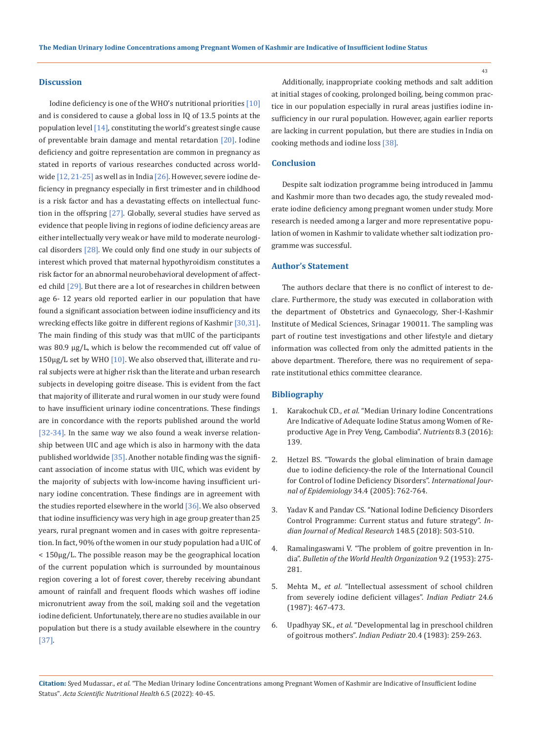## **Discussion**

Iodine deficiency is one of the WHO's nutritional priorities [10] and is considered to cause a global loss in IQ of 13.5 points at the population level [14], constituting the world's greatest single cause of preventable brain damage and mental retardation [20]. Iodine deficiency and goitre representation are common in pregnancy as stated in reports of various researches conducted across worldwide  $[12, 21-25]$  as well as in India  $[26]$ . However, severe iodine deficiency in pregnancy especially in first trimester and in childhood is a risk factor and has a devastating effects on intellectual function in the offspring [27]. Globally, several studies have served as evidence that people living in regions of iodine deficiency areas are either intellectually very weak or have mild to moderate neurological disorders [28]. We could only find one study in our subjects of interest which proved that maternal hypothyroidism constitutes a risk factor for an abnormal neurobehavioral development of affected child [29]. But there are a lot of researches in children between age 6- 12 years old reported earlier in our population that have found a significant association between iodine insufficiency and its wrecking effects like goitre in different regions of Kashmir [30,31]. The main finding of this study was that mUIC of the participants was 80.9 µg/L, which is below the recommended cut off value of  $150\mu g/L$  set by WHO  $[10]$ . We also observed that, illiterate and rural subjects were at higher risk than the literate and urban research subjects in developing goitre disease. This is evident from the fact that majority of illiterate and rural women in our study were found to have insufficient urinary iodine concentrations. These findings are in concordance with the reports published around the world [32-34]. In the same way we also found a weak inverse relationship between UIC and age which is also in harmony with the data published worldwide [35]. Another notable finding was the significant association of income status with UIC, which was evident by the majority of subjects with low-income having insufficient urinary iodine concentration. These findings are in agreement with the studies reported elsewhere in the world  $[36]$ . We also observed that iodine insufficiency was very high in age group greater than 25 years, rural pregnant women and in cases with goitre representation. In fact, 90% of the women in our study population had a UIC of < 150µg/L. The possible reason may be the geographical location of the current population which is surrounded by mountainous region covering a lot of forest cover, thereby receiving abundant amount of rainfall and frequent floods which washes off iodine micronutrient away from the soil, making soil and the vegetation iodine deficient. Unfortunately, there are no studies available in our population but there is a study available elsewhere in the country [37].

Additionally, inappropriate cooking methods and salt addition at initial stages of cooking, prolonged boiling, being common practice in our population especially in rural areas justifies iodine insufficiency in our rural population. However, again earlier reports are lacking in current population, but there are studies in India on cooking methods and iodine loss [38].

## **Conclusion**

Despite salt iodization programme being introduced in Jammu and Kashmir more than two decades ago, the study revealed moderate iodine deficiency among pregnant women under study. More research is needed among a larger and more representative population of women in Kashmir to validate whether salt iodization programme was successful.

## **Author's Statement**

The authors declare that there is no conflict of interest to declare. Furthermore, the study was executed in collaboration with the department of Obstetrics and Gynaecology, Sher-I-Kashmir Institute of Medical Sciences, Srinagar 190011. The sampling was part of routine test investigations and other lifestyle and dietary information was collected from only the admitted patients in the above department. Therefore, there was no requirement of separate institutional ethics committee clearance.

#### **Bibliography**

- 1. Karakochuk CD., *et al*[. "Median Urinary Iodine Concentrations](https://pubmed.ncbi.nlm.nih.gov/26950151/)  [Are Indicative of Adequate Iodine Status among Women of Re](https://pubmed.ncbi.nlm.nih.gov/26950151/)[productive Age in Prey Veng, Cambodia".](https://pubmed.ncbi.nlm.nih.gov/26950151/) *Nutrients* 8.3 (2016): [139.](https://pubmed.ncbi.nlm.nih.gov/26950151/)
- 2. [Hetzel BS. "Towards the global elimination of brain damage](https://pubmed.ncbi.nlm.nih.gov/15833794/)  [due to iodine deficiency-the role of the International Council](https://pubmed.ncbi.nlm.nih.gov/15833794/) [for Control of Iodine Deficiency Disorders".](https://pubmed.ncbi.nlm.nih.gov/15833794/) *International Journal of Epidemiology* [34.4 \(2005\): 762-764.](https://pubmed.ncbi.nlm.nih.gov/15833794/)
- 3. [Yadav K and Pandav CS. "National Iodine Deficiency Disorders](https://pubmed.ncbi.nlm.nih.gov/30666977/) [Control Programme: Current status and future strategy".](https://pubmed.ncbi.nlm.nih.gov/30666977/) *In[dian Journal of Medical Research](https://pubmed.ncbi.nlm.nih.gov/30666977/)* 148.5 (2018): 503-510.
- 4. [Ramalingaswami V. "The problem of goitre prevention in In](https://www.ncbi.nlm.nih.gov/pmc/articles/PMC2542097/)dia". *[Bulletin of the World Health Organization](https://www.ncbi.nlm.nih.gov/pmc/articles/PMC2542097/)* 9.2 (1953): 275- [281.](https://www.ncbi.nlm.nih.gov/pmc/articles/PMC2542097/)
- 5. Mehta M., *et al*[. "Intellectual assessment of school children](https://pubmed.ncbi.nlm.nih.gov/7959997/) [from severely iodine deficient villages".](https://pubmed.ncbi.nlm.nih.gov/7959997/) *Indian Pediatr* 24.6 [\(1987\): 467-473.](https://pubmed.ncbi.nlm.nih.gov/7959997/)
- 6. Upadhyay SK., *et al*[. "Developmental lag in preschool children](https://pubmed.ncbi.nlm.nih.gov/6618646/)  of goitrous mothers". *Indian Pediatr* [20.4 \(1983\): 259-263.](https://pubmed.ncbi.nlm.nih.gov/6618646/)

**Citation:** Syed Mudassar*., et al.* "The Median Urinary Iodine Concentrations among Pregnant Women of Kashmir are Indicative of Insufficient Iodine Status". *Acta Scientific Nutritional Health* 6.5 (2022): 40-45.

43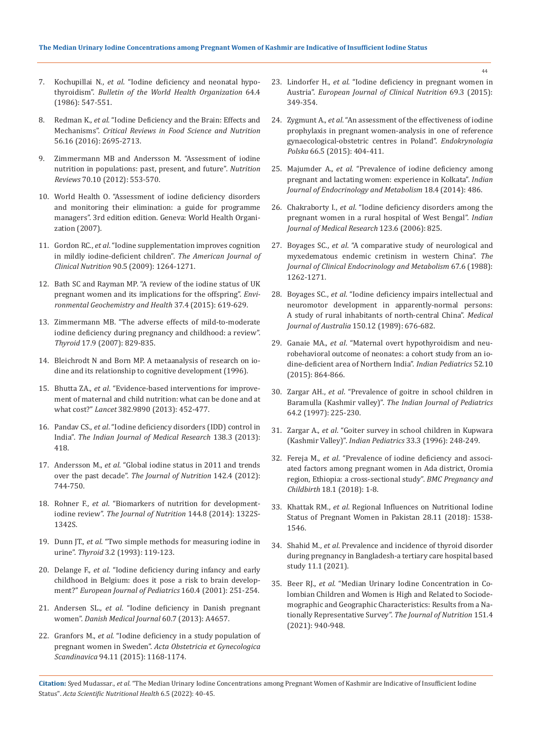- 7. Kochupillai N., *et al*[. "Iodine deficiency and neonatal hypo](https://www.ncbi.nlm.nih.gov/pmc/articles/PMC2490891/)thyroidism". *[Bulletin of the World Health Organization](https://www.ncbi.nlm.nih.gov/pmc/articles/PMC2490891/)* 64.4 [\(1986\): 547-551.](https://www.ncbi.nlm.nih.gov/pmc/articles/PMC2490891/)
- 8. Redman K., *et al*[. "Iodine Deficiency and the Brain: Effects and](https://www.researchgate.net/publication/275052017_Iodine_Deficiency_and_the_Brain_Effects_and_Mechanisms)  Mechanisms". *[Critical Reviews in Food Science and Nutrition](https://www.researchgate.net/publication/275052017_Iodine_Deficiency_and_the_Brain_Effects_and_Mechanisms)*  [56.16 \(2016\): 2695-2713.](https://www.researchgate.net/publication/275052017_Iodine_Deficiency_and_the_Brain_Effects_and_Mechanisms)
- Zimmermann MB and Andersson M. "Assessment of iodine [nutrition in populations: past, present, and future".](https://pubmed.ncbi.nlm.nih.gov/23035804/) *Nutrition Reviews* [70.10 \(2012\): 553-570.](https://pubmed.ncbi.nlm.nih.gov/23035804/)
- 10. [World Health O. "Assessment of iodine deficiency disorders](https://apps.who.int/iris/handle/10665/43781)  [and monitoring their elimination: a guide for programme](https://apps.who.int/iris/handle/10665/43781)  [managers". 3rd edition edition. Geneva: World Health Organi](https://apps.who.int/iris/handle/10665/43781)[zation \(2007\).](https://apps.who.int/iris/handle/10665/43781)
- 11. Gordon RC., *et al*[. "Iodine supplementation improves cognition](https://pubmed.ncbi.nlm.nih.gov/19726593/)  [in mildly iodine-deficient children".](https://pubmed.ncbi.nlm.nih.gov/19726593/) *The American Journal of Clinical Nutrition* [90.5 \(2009\): 1264-1271.](https://pubmed.ncbi.nlm.nih.gov/19726593/)
- 12. [Bath SC and Rayman MP. "A review of the iodine status of UK](https://pubmed.ncbi.nlm.nih.gov/25663363/)  [pregnant women and its implications for the offspring".](https://pubmed.ncbi.nlm.nih.gov/25663363/) *Envi[ronmental Geochemistry and Health](https://pubmed.ncbi.nlm.nih.gov/25663363/)* 37.4 (2015): 619-629.
- 13. [Zimmermann MB. "The adverse effects of mild-to-moderate](https://pubmed.ncbi.nlm.nih.gov/17956157/)  [iodine deficiency during pregnancy and childhood: a review".](https://pubmed.ncbi.nlm.nih.gov/17956157/)  *Thyroid* [17.9 \(2007\): 829-835.](https://pubmed.ncbi.nlm.nih.gov/17956157/)
- 14. [Bleichrodt N and Born MP. A metaanalysis of research on io](https://research.vu.nl/en/publications/a-metaanalysis-of-research-on-iodine-and-its-relationship-to-cogn)[dine and its relationship to cognitive development \(1996\).](https://research.vu.nl/en/publications/a-metaanalysis-of-research-on-iodine-and-its-relationship-to-cogn)
- 15. Bhutta ZA., *et al*[. "Evidence-based interventions for improve](https://pubmed.ncbi.nlm.nih.gov/23746776/)[ment of maternal and child nutrition: what can be done and at](https://pubmed.ncbi.nlm.nih.gov/23746776/)  what cost?" *Lancet* [382.9890 \(2013\): 452-477.](https://pubmed.ncbi.nlm.nih.gov/23746776/)
- 16. Pandav CS., *et al*[. "Iodine deficiency disorders \(IDD\) control in](https://www.ncbi.nlm.nih.gov/pmc/articles/PMC3818611/)  India". *[The Indian Journal of Medical Research](https://www.ncbi.nlm.nih.gov/pmc/articles/PMC3818611/)* 138.3 (2013): [418.](https://www.ncbi.nlm.nih.gov/pmc/articles/PMC3818611/)
- 17. Andersson M., *et al*[. "Global iodine status in 2011 and trends](https://pubmed.ncbi.nlm.nih.gov/22378324/)  over the past decade". *[The Journal of Nutrition](https://pubmed.ncbi.nlm.nih.gov/22378324/)* 142.4 (2012): [744-750.](https://pubmed.ncbi.nlm.nih.gov/22378324/)
- 18. Rohner F., *et al*[. "Biomarkers of nutrition for development](https://pubmed.ncbi.nlm.nih.gov/24966410/)iodine review". *[The Journal of Nutrition](https://pubmed.ncbi.nlm.nih.gov/24966410/)* 144.8 (2014): 1322S-[1342S.](https://pubmed.ncbi.nlm.nih.gov/24966410/)
- 19. Dunn JT., *et al*[. "Two simple methods for measuring iodine in](https://www.liebertpub.com/doi/10.1089/thy.1993.3.119)  urine". *Thyroid* [3.2 \(1993\): 119-123.](https://www.liebertpub.com/doi/10.1089/thy.1993.3.119)
- 20. Delange F., *et al*[. "Iodine deficiency during infancy and early](https://pubmed.ncbi.nlm.nih.gov/11317650/)  [childhood in Belgium: does it pose a risk to brain develop](https://pubmed.ncbi.nlm.nih.gov/11317650/)ment?" *[European Journal of Pediatrics](https://pubmed.ncbi.nlm.nih.gov/11317650/)* 160.4 (2001): 251-254.
- 21. Andersen SL., *et al*[. "Iodine deficiency in Danish pregnant](https://pubmed.ncbi.nlm.nih.gov/25535149/)  women". *[Danish Medical Journal](https://pubmed.ncbi.nlm.nih.gov/25535149/)* 60.7 (2013): A4657.
- 22. Granfors M., *et al*[. "Iodine deficiency in a study population of](https://obgyn.onlinelibrary.wiley.com/doi/pdf/10.1111/aogs.12713)  pregnant women in Sweden". *[Acta Obstetricia et Gynecologica](https://obgyn.onlinelibrary.wiley.com/doi/pdf/10.1111/aogs.12713)  Scandinavica* [94.11 \(2015\): 1168-1174.](https://obgyn.onlinelibrary.wiley.com/doi/pdf/10.1111/aogs.12713)
- 23. Lindorfer H., *et al*[. "Iodine deficiency in pregnant women in](https://www.nature.com/articles/ejcn2014253)  Austria". *[European Journal of Clinical Nutrition](https://www.nature.com/articles/ejcn2014253)* 69.3 (2015): [349-354.](https://www.nature.com/articles/ejcn2014253)
- 24. Zygmunt A., *et al*[. "An assessment of the effectiveness of iodine](https://pubmed.ncbi.nlm.nih.gov/26457494/)  [prophylaxis in pregnant women-analysis in one of reference](https://pubmed.ncbi.nlm.nih.gov/26457494/)  [gynaecological-obstetric centres in Poland".](https://pubmed.ncbi.nlm.nih.gov/26457494/) *Endokrynologia Polska* [66.5 \(2015\): 404-411.](https://pubmed.ncbi.nlm.nih.gov/26457494/)
- 25. Majumder A., *et al*[. "Prevalence of iodine deficiency among](https://www.ncbi.nlm.nih.gov/pmc/articles/PMC4138902/)  [pregnant and lactating women: experience in Kolkata".](https://www.ncbi.nlm.nih.gov/pmc/articles/PMC4138902/) *Indian [Journal of Endocrinology and Metabolism](https://www.ncbi.nlm.nih.gov/pmc/articles/PMC4138902/)* 18.4 (2014): 486.
- 26. Chakraborty I., *et al*[. "Iodine deficiency disorders among the](https://pubmed.ncbi.nlm.nih.gov/16885606/)  [pregnant women in a rural hospital of West Bengal".](https://pubmed.ncbi.nlm.nih.gov/16885606/) *Indian [Journal of Medical Research](https://pubmed.ncbi.nlm.nih.gov/16885606/)* 123.6 (2006): 825.
- 27. Boyages SC., *et al*[. "A comparative study of neurological and](https://pubmed.ncbi.nlm.nih.gov/3056969/)  [myxedematous endemic cretinism in western China".](https://pubmed.ncbi.nlm.nih.gov/3056969/) *The [Journal of Clinical Endocrinology and Metabolism](https://pubmed.ncbi.nlm.nih.gov/3056969/)* 67.6 (1988): [1262-1271.](https://pubmed.ncbi.nlm.nih.gov/3056969/)
- 28. Boyages SC., *et al*[. "Iodine deficiency impairs intellectual and](https://pubmed.ncbi.nlm.nih.gov/2733614/)  [neuromotor development in apparently‐normal persons:](https://pubmed.ncbi.nlm.nih.gov/2733614/)  [A study of rural inhabitants of north‐central China".](https://pubmed.ncbi.nlm.nih.gov/2733614/) *Medical [Journal of Australia](https://pubmed.ncbi.nlm.nih.gov/2733614/)* 150.12 (1989): 676-682.
- 29. Ganaie MA., *et al*[. "Maternal overt hypothyroidism and neu](https://pubmed.ncbi.nlm.nih.gov/26499010/)[robehavioral outcome of neonates: a cohort study from an io](https://pubmed.ncbi.nlm.nih.gov/26499010/)[dine-deficient area of Northern India".](https://pubmed.ncbi.nlm.nih.gov/26499010/) *Indian Pediatrics* 52.10 [\(2015\): 864-866.](https://pubmed.ncbi.nlm.nih.gov/26499010/)
- 30. Zargar AH., *et al*[. "Prevalence of goitre in school children in](https://ghdx.healthdata.org/record/prevalence-goitre-school-children-baramulla-kashmir-valley)  Baramulla (Kashmir valley)". *[The Indian Journal of Pediatrics](https://ghdx.healthdata.org/record/prevalence-goitre-school-children-baramulla-kashmir-valley)*  [64.2 \(1997\): 225-230.](https://ghdx.healthdata.org/record/prevalence-goitre-school-children-baramulla-kashmir-valley)
- 31. Zargar A., *et al*[. "Goiter survey in school children in Kupwara](https://pubmed.ncbi.nlm.nih.gov/8772853/)  (Kashmir Valley)". *Indian Pediatrics* [33.3 \(1996\): 248-249.](https://pubmed.ncbi.nlm.nih.gov/8772853/)
- 32. Fereja M., *et al*[. "Prevalence of iodine deficiency and associ](https://pubmed.ncbi.nlm.nih.gov/29940879/)[ated factors among pregnant women in Ada district, Oromia](https://pubmed.ncbi.nlm.nih.gov/29940879/)  [region, Ethiopia: a cross-sectional study".](https://pubmed.ncbi.nlm.nih.gov/29940879/) *BMC Pregnancy and Childbirth* [18.1 \(2018\): 1-8.](https://pubmed.ncbi.nlm.nih.gov/29940879/)
- 33. Khattak RM., *et al*[. Regional Influences on Nutritional Iodine](https://www.liebertpub.com/doi/10.1089/thy.2017.0267)  [Status of Pregnant Women in Pakistan 28.11 \(2018\): 1538-](https://www.liebertpub.com/doi/10.1089/thy.2017.0267) [1546.](https://www.liebertpub.com/doi/10.1089/thy.2017.0267)
- 34. Shahid M., *et al*[. Prevalence and incidence of thyroid disorder](https://www.researchgate.net/publication/350736916_Prevalence_and_incidence_of_thyroid_disorder_during_pregnancy_in_Bangladesh_-_a_tertiary_care_hospital_based_study)  [during pregnancy in Bangladesh-a tertiary care hospital based](https://www.researchgate.net/publication/350736916_Prevalence_and_incidence_of_thyroid_disorder_during_pregnancy_in_Bangladesh_-_a_tertiary_care_hospital_based_study)  [study 11.1 \(2021\).](https://www.researchgate.net/publication/350736916_Prevalence_and_incidence_of_thyroid_disorder_during_pregnancy_in_Bangladesh_-_a_tertiary_care_hospital_based_study)
- 35. Beer RJ., *et al*[. "Median Urinary Iodine Concentration in Co](https://pubmed.ncbi.nlm.nih.gov/33561275/)[lombian Children and Women is High and Related to Sociode](https://pubmed.ncbi.nlm.nih.gov/33561275/)[mographic and Geographic Characteristics: Results from a Na](https://pubmed.ncbi.nlm.nih.gov/33561275/)[tionally Representative Survey".](https://pubmed.ncbi.nlm.nih.gov/33561275/) *The Journal of Nutrition* 151.4 [\(2021\): 940-948.](https://pubmed.ncbi.nlm.nih.gov/33561275/)

**Citation:** Syed Mudassar*., et al.* "The Median Urinary Iodine Concentrations among Pregnant Women of Kashmir are Indicative of Insufficient Iodine Status". *Acta Scientific Nutritional Health* 6.5 (2022): 40-45.

44